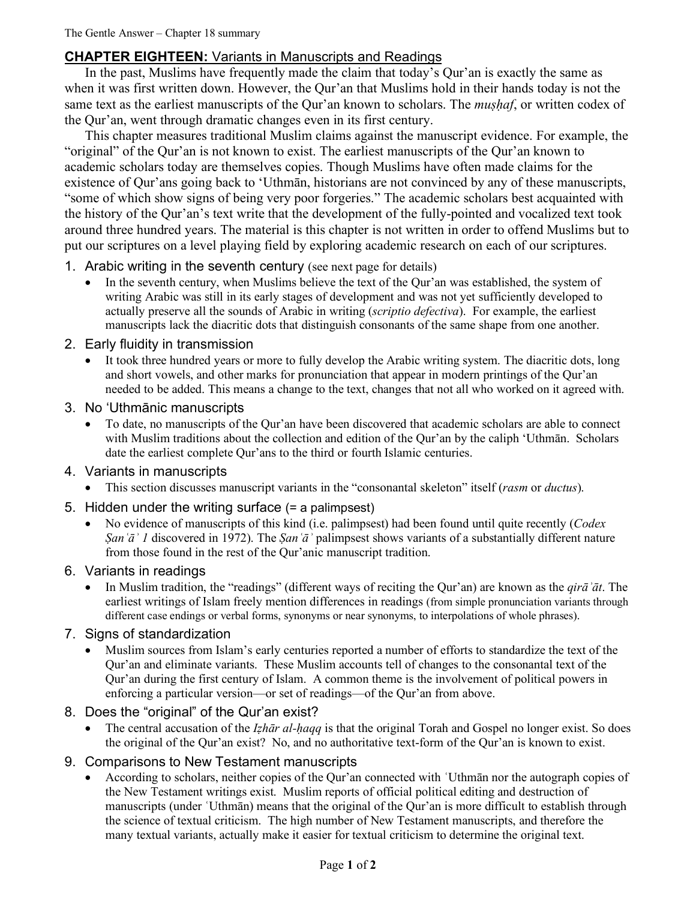## **CHAPTER EIGHTEEN:** Variants in Manuscripts and Readings

In the past, Muslims have frequently made the claim that today's Qur'an is exactly the same as when it was first written down. However, the Qur'an that Muslims hold in their hands today is not the same text as the earliest manuscripts of the Qur'an known to scholars. The *muṣḥaf*, or written codex of the Qur'an, went through dramatic changes even in its first century.

This chapter measures traditional Muslim claims against the manuscript evidence. For example, the "original" of the Qur'an is not known to exist. The earliest manuscripts of the Qur'an known to academic scholars today are themselves copies. Though Muslims have often made claims for the existence of Qur'ans going back to 'Uthmān, historians are not convinced by any of these manuscripts, "some of which show signs of being very poor forgeries." The academic scholars best acquainted with the history of the Qur'an's text write that the development of the fully-pointed and vocalized text took around three hundred years. The material is this chapter is not written in order to offend Muslims but to put our scriptures on a level playing field by exploring academic research on each of our scriptures.

- 1. Arabic writing in the seventh century (see next page for details)
	- In the seventh century, when Muslims believe the text of the Qur'an was established, the system of writing Arabic was still in its early stages of development and was not yet sufficiently developed to actually preserve all the sounds of Arabic in writing (*scriptio defectiva*). For example, the earliest manuscripts lack the diacritic dots that distinguish consonants of the same shape from one another.
- 2. Early fluidity in transmission
	- It took three hundred years or more to fully develop the Arabic writing system. The diacritic dots, long and short vowels, and other marks for pronunciation that appear in modern printings of the Qur'an needed to be added. This means a change to the text, changes that not all who worked on it agreed with.
- 3. No 'Uthmānic manuscripts
	- To date, no manuscripts of the Qur'an have been discovered that academic scholars are able to connect with Muslim traditions about the collection and edition of the Qur'an by the caliph 'Uthmān. Scholars date the earliest complete Qur'ans to the third or fourth Islamic centuries.
- 4. Variants in manuscripts
	- This section discusses manuscript variants in the "consonantal skeleton" itself (*rasm* or *ductus*).
- 5. Hidden under the writing surface (= a palimpsest)
	- No evidence of manuscripts of this kind (i.e. palimpsest) had been found until quite recently (*Codex Ṣanʿāʾ 1* discovered in 1972). The *Ṣanʿāʾ* palimpsest shows variants of a substantially different nature from those found in the rest of the Qur'anic manuscript tradition.
- 6. Variants in readings
	- In Muslim tradition, the "readings" (different ways of reciting the Qur'an) are known as the *qirāʾāt*. The earliest writings of Islam freely mention differences in readings (from simple pronunciation variants through different case endings or verbal forms, synonyms or near synonyms, to interpolations of whole phrases).
- 7. Signs of standardization
	- Muslim sources from Islam's early centuries reported a number of efforts to standardize the text of the Qur'an and eliminate variants. These Muslim accounts tell of changes to the consonantal text of the Qur'an during the first century of Islam. A common theme is the involvement of political powers in enforcing a particular version—or set of readings—of the Qur'an from above.

## 8. Does the "original" of the Qur'an exist?

- The central accusation of the *Iẓhār al-ḥaqq* is that the original Torah and Gospel no longer exist. So does the original of the Qur'an exist? No, and no authoritative text-form of the Qur'an is known to exist.
- 9. Comparisons to New Testament manuscripts
	- According to scholars, neither copies of the Qur'an connected with 'Uthman nor the autograph copies of the New Testament writings exist. Muslim reports of official political editing and destruction of manuscripts (under ʿUthmān) means that the original of the Qur'an is more difficult to establish through the science of textual criticism. The high number of New Testament manuscripts, and therefore the many textual variants, actually make it easier for textual criticism to determine the original text.